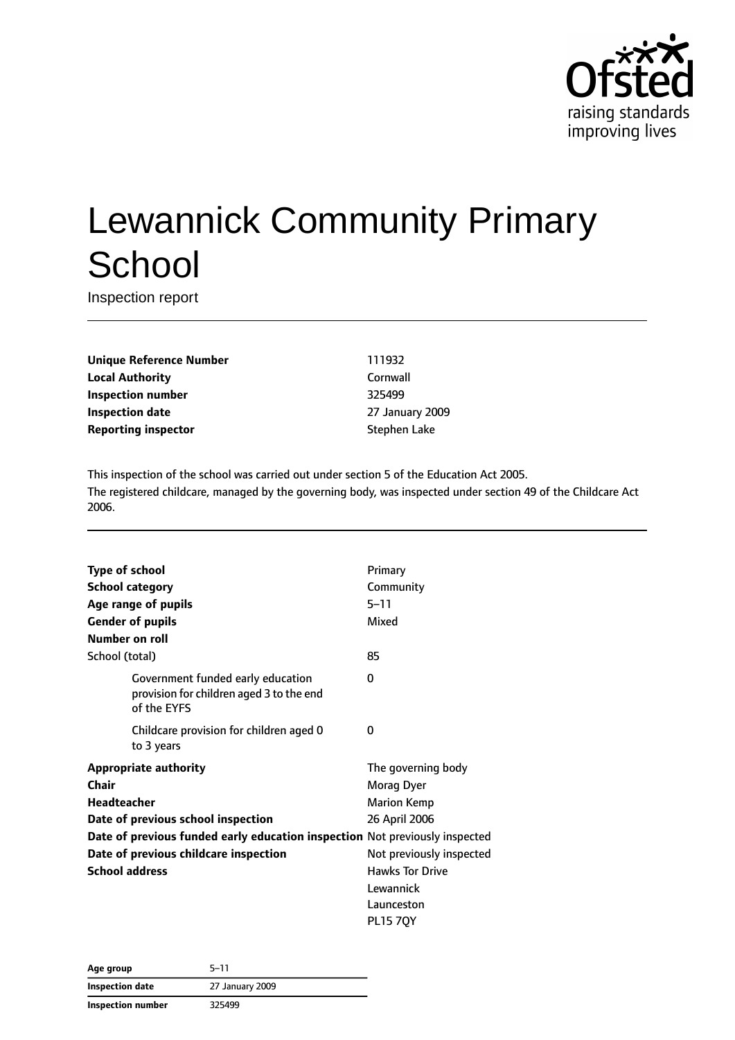

# Lewannick Community Primary **School**

Inspection report

**Unique Reference Number** 111932 **Local Authority** Cornwall **Inspection number** 325499 **Inspection date** 27 January 2009 **Reporting inspector** Stephen Lake

This inspection of the school was carried out under section 5 of the Education Act 2005. The registered childcare, managed by the governing body, was inspected under section 49 of the Childcare Act 2006.

| <b>Type of school</b>                                                       |                                                                                              | Primary                  |
|-----------------------------------------------------------------------------|----------------------------------------------------------------------------------------------|--------------------------|
|                                                                             | <b>School category</b>                                                                       | Community                |
|                                                                             | Age range of pupils                                                                          | $5 - 11$                 |
|                                                                             | <b>Gender of pupils</b>                                                                      | Mixed                    |
| Number on roll                                                              |                                                                                              |                          |
| School (total)                                                              |                                                                                              | 85                       |
|                                                                             | Government funded early education<br>provision for children aged 3 to the end<br>of the EYFS | 0                        |
|                                                                             | Childcare provision for children aged 0<br>to 3 years                                        | 0                        |
|                                                                             | <b>Appropriate authority</b>                                                                 | The governing body       |
| <b>Chair</b>                                                                |                                                                                              | Morag Dyer               |
| Headteacher                                                                 |                                                                                              | <b>Marion Kemp</b>       |
|                                                                             | Date of previous school inspection                                                           | 26 April 2006            |
| Date of previous funded early education inspection Not previously inspected |                                                                                              |                          |
| Date of previous childcare inspection                                       |                                                                                              | Not previously inspected |
| <b>School address</b>                                                       |                                                                                              | <b>Hawks Tor Drive</b>   |
|                                                                             |                                                                                              | Lewannick                |
|                                                                             |                                                                                              | Launceston               |
|                                                                             |                                                                                              | <b>PL15 7QY</b>          |

| Age group                | $5 - 11$        |
|--------------------------|-----------------|
| <b>Inspection date</b>   | 27 January 2009 |
| <b>Inspection number</b> | 325499          |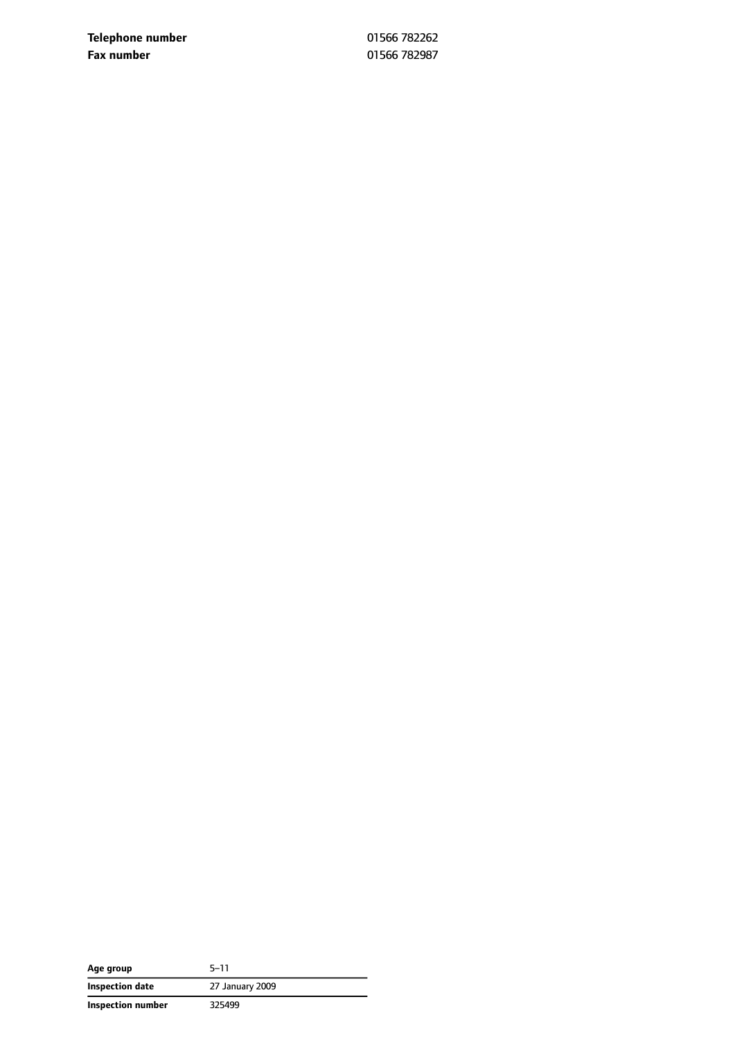**Telephone number** 01566 782262 **Fax number** 01566 782987

| Age group         | $5 - 11$        |
|-------------------|-----------------|
| Inspection date   | 27 January 2009 |
| Inspection number | 325499          |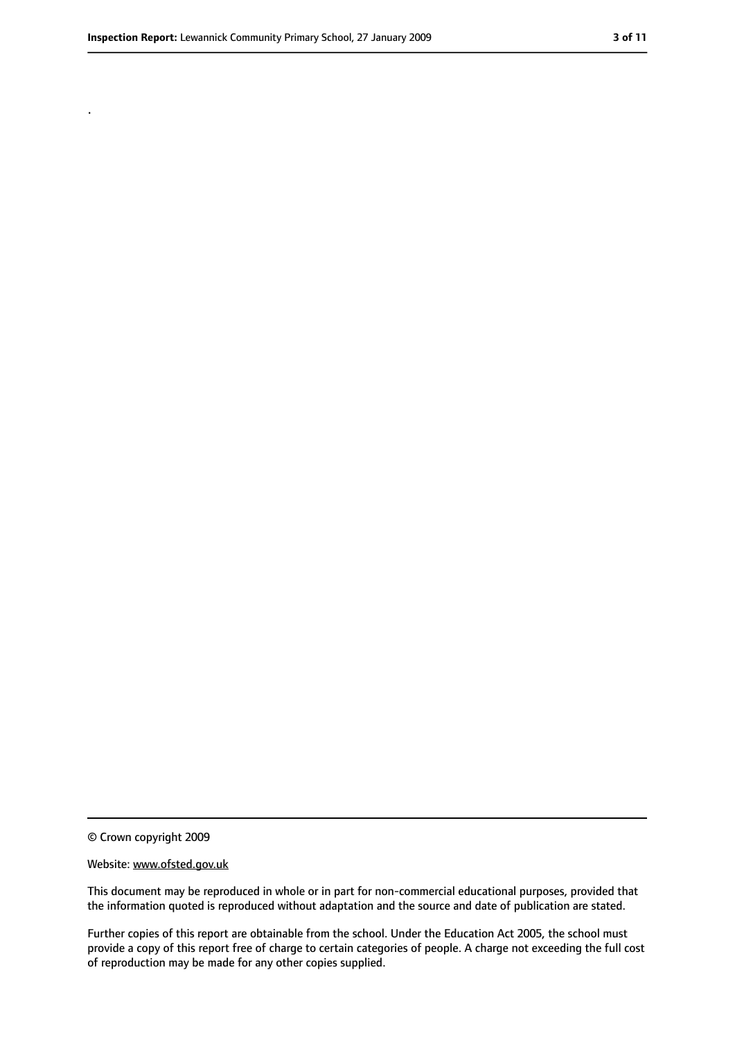.

<sup>©</sup> Crown copyright 2009

Website: www.ofsted.gov.uk

This document may be reproduced in whole or in part for non-commercial educational purposes, provided that the information quoted is reproduced without adaptation and the source and date of publication are stated.

Further copies of this report are obtainable from the school. Under the Education Act 2005, the school must provide a copy of this report free of charge to certain categories of people. A charge not exceeding the full cost of reproduction may be made for any other copies supplied.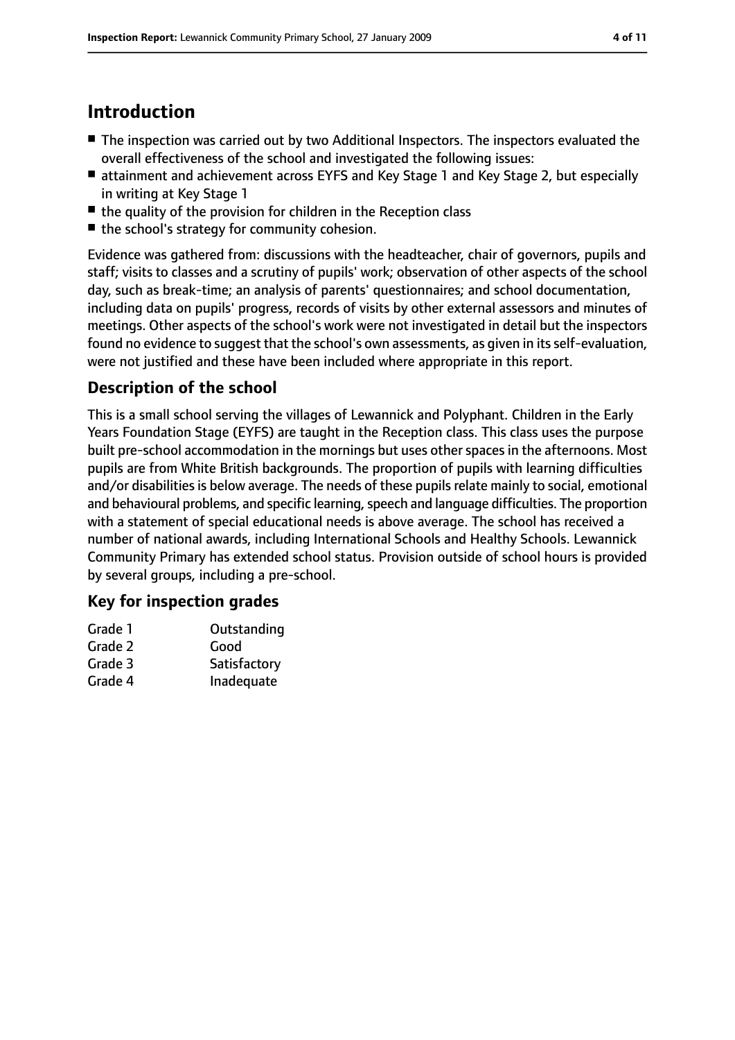# **Introduction**

- The inspection was carried out by two Additional Inspectors. The inspectors evaluated the overall effectiveness of the school and investigated the following issues:
- attainment and achievement across EYFS and Key Stage 1 and Key Stage 2, but especially in writing at Key Stage 1
- the quality of the provision for children in the Reception class
- the school's strategy for community cohesion.

Evidence was gathered from: discussions with the headteacher, chair of governors, pupils and staff; visits to classes and a scrutiny of pupils' work; observation of other aspects of the school day, such as break-time; an analysis of parents' questionnaires; and school documentation, including data on pupils' progress, records of visits by other external assessors and minutes of meetings. Other aspects of the school's work were not investigated in detail but the inspectors found no evidence to suggest that the school's own assessments, as given in its self-evaluation, were not justified and these have been included where appropriate in this report.

#### **Description of the school**

This is a small school serving the villages of Lewannick and Polyphant. Children in the Early Years Foundation Stage (EYFS) are taught in the Reception class. This class uses the purpose built pre-school accommodation in the mornings but uses other spaces in the afternoons. Most pupils are from White British backgrounds. The proportion of pupils with learning difficulties and/or disabilities is below average. The needs of these pupils relate mainly to social, emotional and behavioural problems, and specific learning, speech and language difficulties. The proportion with a statement of special educational needs is above average. The school has received a number of national awards, including International Schools and Healthy Schools. Lewannick Community Primary has extended school status. Provision outside of school hours is provided by several groups, including a pre-school.

#### **Key for inspection grades**

| Grade 1 | Outstanding  |
|---------|--------------|
| Grade 2 | Good         |
| Grade 3 | Satisfactory |
| Grade 4 | Inadequate   |
|         |              |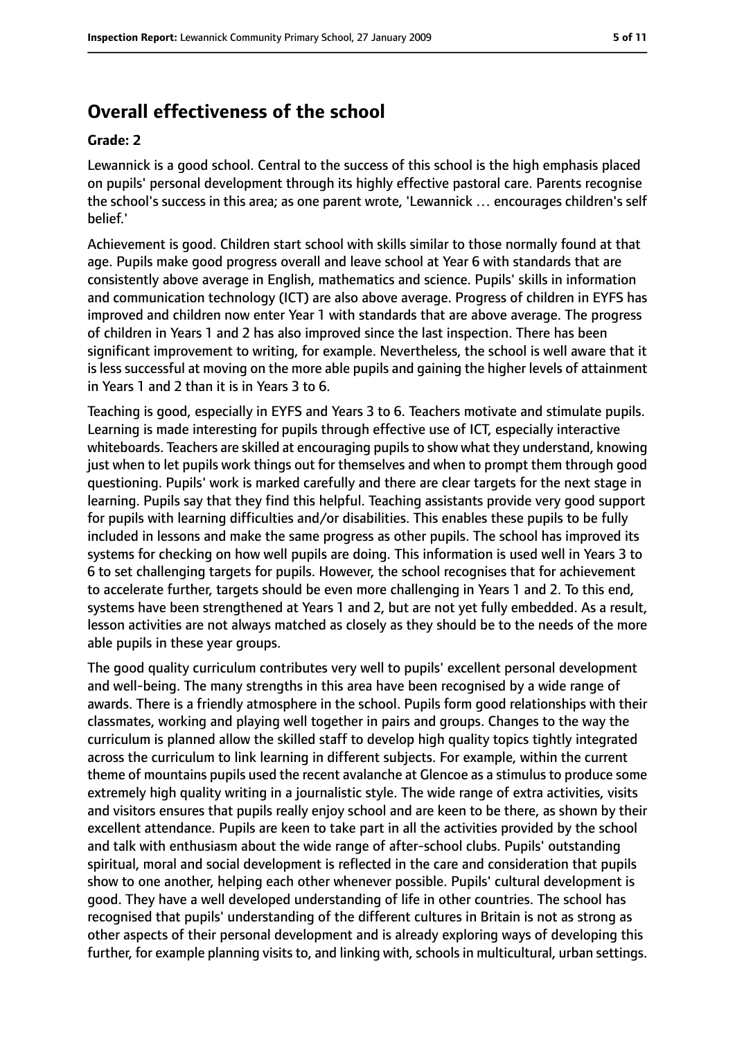## **Overall effectiveness of the school**

#### **Grade: 2**

Lewannick is a good school. Central to the success of this school is the high emphasis placed on pupils' personal development through its highly effective pastoral care. Parents recognise the school's success in this area; as one parent wrote, 'Lewannick … encourages children's self belief.'

Achievement is good. Children start school with skills similar to those normally found at that age. Pupils make good progress overall and leave school at Year 6 with standards that are consistently above average in English, mathematics and science. Pupils' skills in information and communication technology (ICT) are also above average. Progress of children in EYFS has improved and children now enter Year 1 with standards that are above average. The progress of children in Years 1 and 2 has also improved since the last inspection. There has been significant improvement to writing, for example. Nevertheless, the school is well aware that it is less successful at moving on the more able pupils and gaining the higher levels of attainment in Years 1 and 2 than it is in Years 3 to 6.

Teaching is good, especially in EYFS and Years 3 to 6. Teachers motivate and stimulate pupils. Learning is made interesting for pupils through effective use of ICT, especially interactive whiteboards. Teachers are skilled at encouraging pupilsto show what they understand, knowing just when to let pupils work things out for themselves and when to prompt them through good questioning. Pupils' work is marked carefully and there are clear targets for the next stage in learning. Pupils say that they find this helpful. Teaching assistants provide very good support for pupils with learning difficulties and/or disabilities. This enables these pupils to be fully included in lessons and make the same progress as other pupils. The school has improved its systems for checking on how well pupils are doing. This information is used well in Years 3 to 6 to set challenging targets for pupils. However, the school recognises that for achievement to accelerate further, targets should be even more challenging in Years 1 and 2. To this end, systems have been strengthened at Years 1 and 2, but are not yet fully embedded. As a result, lesson activities are not always matched as closely as they should be to the needs of the more able pupils in these year groups.

The good quality curriculum contributes very well to pupils' excellent personal development and well-being. The many strengths in this area have been recognised by a wide range of awards. There is a friendly atmosphere in the school. Pupils form good relationships with their classmates, working and playing well together in pairs and groups. Changes to the way the curriculum is planned allow the skilled staff to develop high quality topics tightly integrated across the curriculum to link learning in different subjects. For example, within the current theme of mountains pupils used the recent avalanche at Glencoe as a stimulus to produce some extremely high quality writing in a journalistic style. The wide range of extra activities, visits and visitors ensures that pupils really enjoy school and are keen to be there, as shown by their excellent attendance. Pupils are keen to take part in all the activities provided by the school and talk with enthusiasm about the wide range of after-school clubs. Pupils' outstanding spiritual, moral and social development is reflected in the care and consideration that pupils show to one another, helping each other whenever possible. Pupils' cultural development is good. They have a well developed understanding of life in other countries. The school has recognised that pupils' understanding of the different cultures in Britain is not as strong as other aspects of their personal development and is already exploring ways of developing this further, for example planning visits to, and linking with, schools in multicultural, urban settings.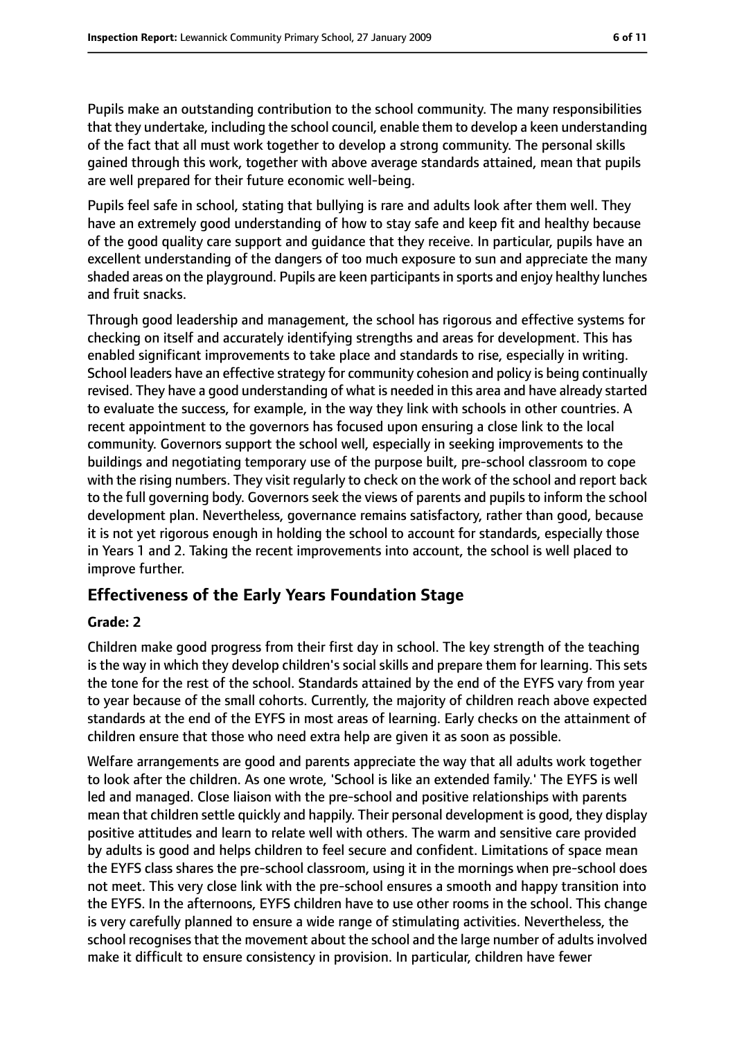Pupils make an outstanding contribution to the school community. The many responsibilities that they undertake, including the school council, enable them to develop a keen understanding of the fact that all must work together to develop a strong community. The personal skills gained through this work, together with above average standards attained, mean that pupils are well prepared for their future economic well-being.

Pupils feel safe in school, stating that bullying is rare and adults look after them well. They have an extremely good understanding of how to stay safe and keep fit and healthy because of the good quality care support and guidance that they receive. In particular, pupils have an excellent understanding of the dangers of too much exposure to sun and appreciate the many shaded areas on the playground. Pupils are keen participants in sports and enjoy healthy lunches and fruit snacks.

Through good leadership and management, the school has rigorous and effective systems for checking on itself and accurately identifying strengths and areas for development. This has enabled significant improvements to take place and standards to rise, especially in writing. School leaders have an effective strategy for community cohesion and policy is being continually revised. They have a good understanding of what is needed in this area and have already started to evaluate the success, for example, in the way they link with schools in other countries. A recent appointment to the governors has focused upon ensuring a close link to the local community. Governors support the school well, especially in seeking improvements to the buildings and negotiating temporary use of the purpose built, pre-school classroom to cope with the rising numbers. They visit regularly to check on the work of the school and report back to the full governing body. Governors seek the views of parents and pupils to inform the school development plan. Nevertheless, governance remains satisfactory, rather than good, because it is not yet rigorous enough in holding the school to account for standards, especially those in Years 1 and 2. Taking the recent improvements into account, the school is well placed to improve further.

#### **Effectiveness of the Early Years Foundation Stage**

#### **Grade: 2**

Children make good progress from their first day in school. The key strength of the teaching is the way in which they develop children's social skills and prepare them for learning. This sets the tone for the rest of the school. Standards attained by the end of the EYFS vary from year to year because of the small cohorts. Currently, the majority of children reach above expected standards at the end of the EYFS in most areas of learning. Early checks on the attainment of children ensure that those who need extra help are given it as soon as possible.

Welfare arrangements are good and parents appreciate the way that all adults work together to look after the children. As one wrote, 'School is like an extended family.' The EYFS is well led and managed. Close liaison with the pre-school and positive relationships with parents mean that children settle quickly and happily. Their personal development is good, they display positive attitudes and learn to relate well with others. The warm and sensitive care provided by adults is good and helps children to feel secure and confident. Limitations of space mean the EYFS class shares the pre-school classroom, using it in the mornings when pre-school does not meet. This very close link with the pre-school ensures a smooth and happy transition into the EYFS. In the afternoons, EYFS children have to use other rooms in the school. This change is very carefully planned to ensure a wide range of stimulating activities. Nevertheless, the school recognises that the movement about the school and the large number of adults involved make it difficult to ensure consistency in provision. In particular, children have fewer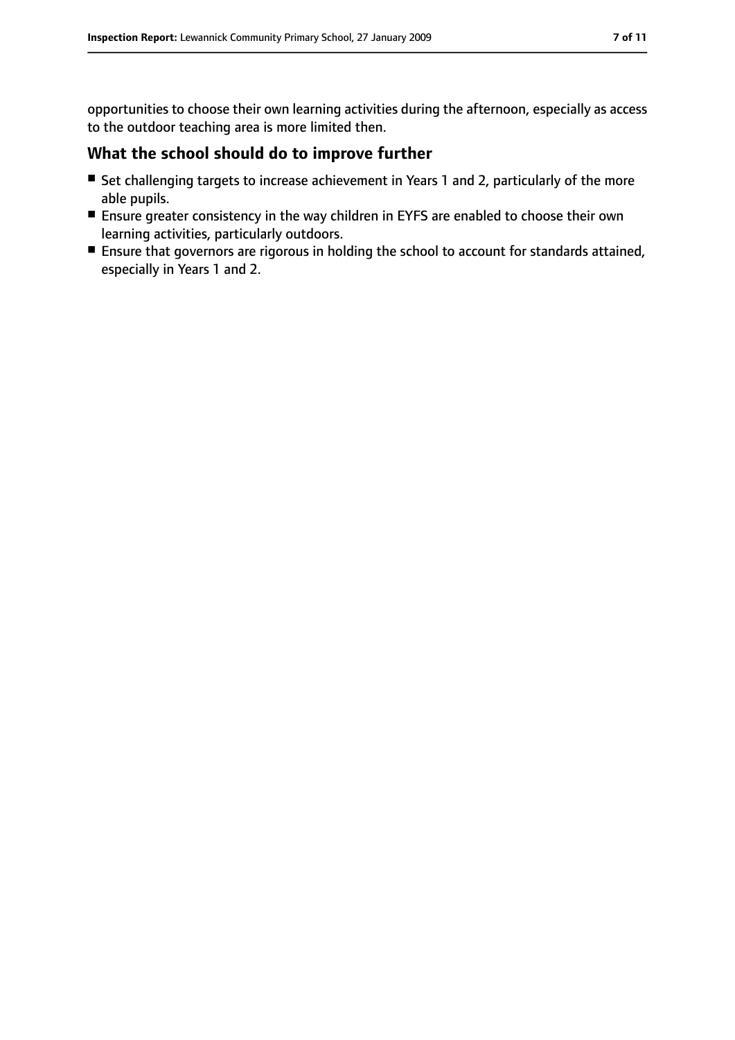opportunities to choose their own learning activities during the afternoon, especially as access to the outdoor teaching area is more limited then.

#### **What the school should do to improve further**

- Set challenging targets to increase achievement in Years 1 and 2, particularly of the more able pupils.
- Ensure greater consistency in the way children in EYFS are enabled to choose their own learning activities, particularly outdoors.
- Ensure that governors are rigorous in holding the school to account for standards attained, especially in Years 1 and 2.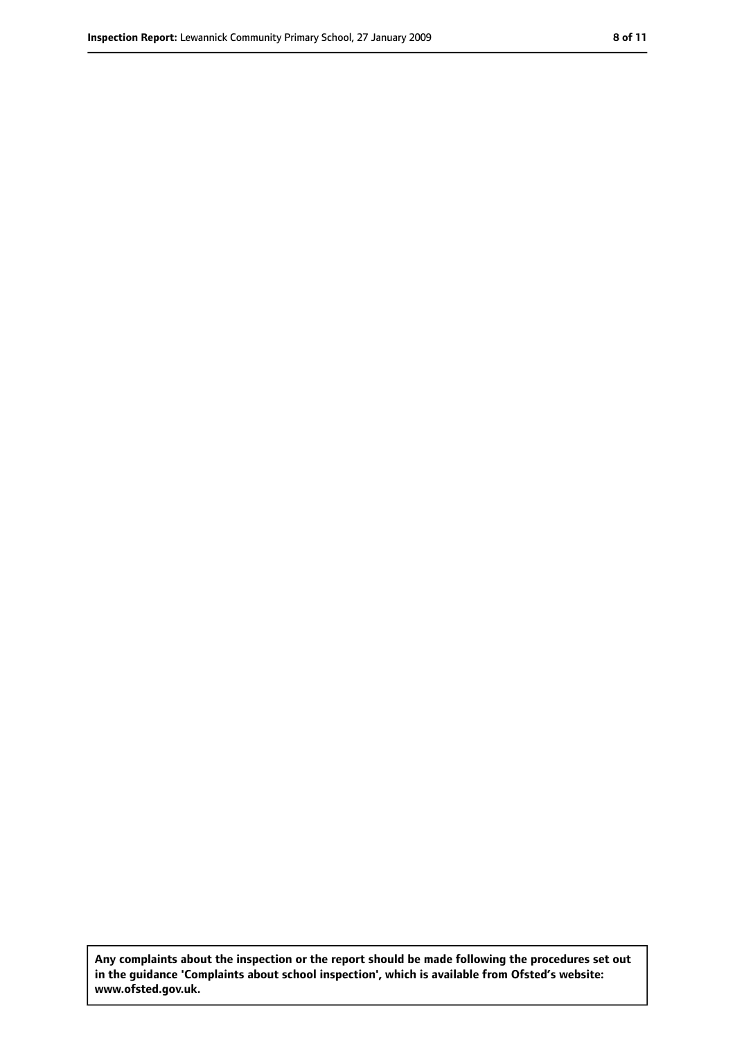**Any complaints about the inspection or the report should be made following the procedures set out in the guidance 'Complaints about school inspection', which is available from Ofsted's website: www.ofsted.gov.uk.**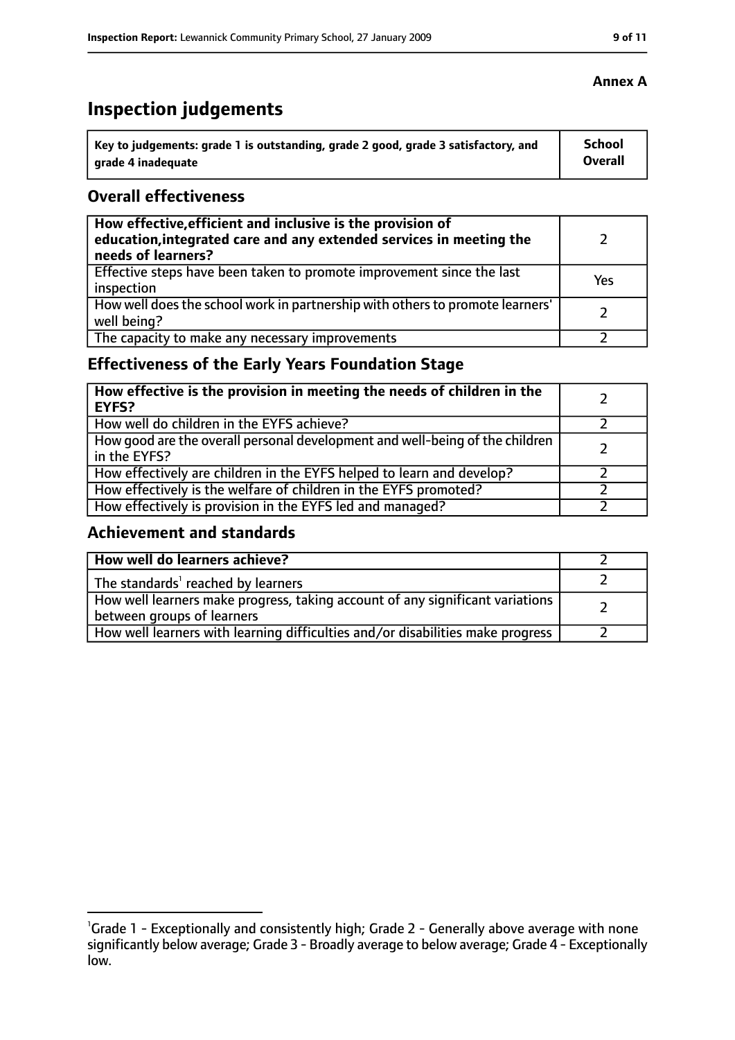# **Inspection judgements**

| Key to judgements: grade 1 is outstanding, grade 2 good, grade 3 satisfactory, and | School  |
|------------------------------------------------------------------------------------|---------|
| arade 4 inadequate                                                                 | Overall |

#### **Overall effectiveness**

| How effective, efficient and inclusive is the provision of<br>education, integrated care and any extended services in meeting the<br>needs of learners? |     |
|---------------------------------------------------------------------------------------------------------------------------------------------------------|-----|
| Effective steps have been taken to promote improvement since the last<br>inspection                                                                     | Yes |
| How well does the school work in partnership with others to promote learners'<br>well being?                                                            |     |
| The capacity to make any necessary improvements                                                                                                         |     |

## **Effectiveness of the Early Years Foundation Stage**

| How effective is the provision in meeting the needs of children in the<br><b>EYFS?</b>       |  |
|----------------------------------------------------------------------------------------------|--|
| How well do children in the EYFS achieve?                                                    |  |
| How good are the overall personal development and well-being of the children<br>in the EYFS? |  |
| How effectively are children in the EYFS helped to learn and develop?                        |  |
| How effectively is the welfare of children in the EYFS promoted?                             |  |
| How effectively is provision in the EYFS led and managed?                                    |  |

#### **Achievement and standards**

| How well do learners achieve?                                                                               |  |
|-------------------------------------------------------------------------------------------------------------|--|
| The standards <sup>1</sup> reached by learners                                                              |  |
| How well learners make progress, taking account of any significant variations<br>between groups of learners |  |
| How well learners with learning difficulties and/or disabilities make progress                              |  |

#### **Annex A**

<sup>&</sup>lt;sup>1</sup>Grade 1 - Exceptionally and consistently high; Grade 2 - Generally above average with none significantly below average; Grade 3 - Broadly average to below average; Grade 4 - Exceptionally low.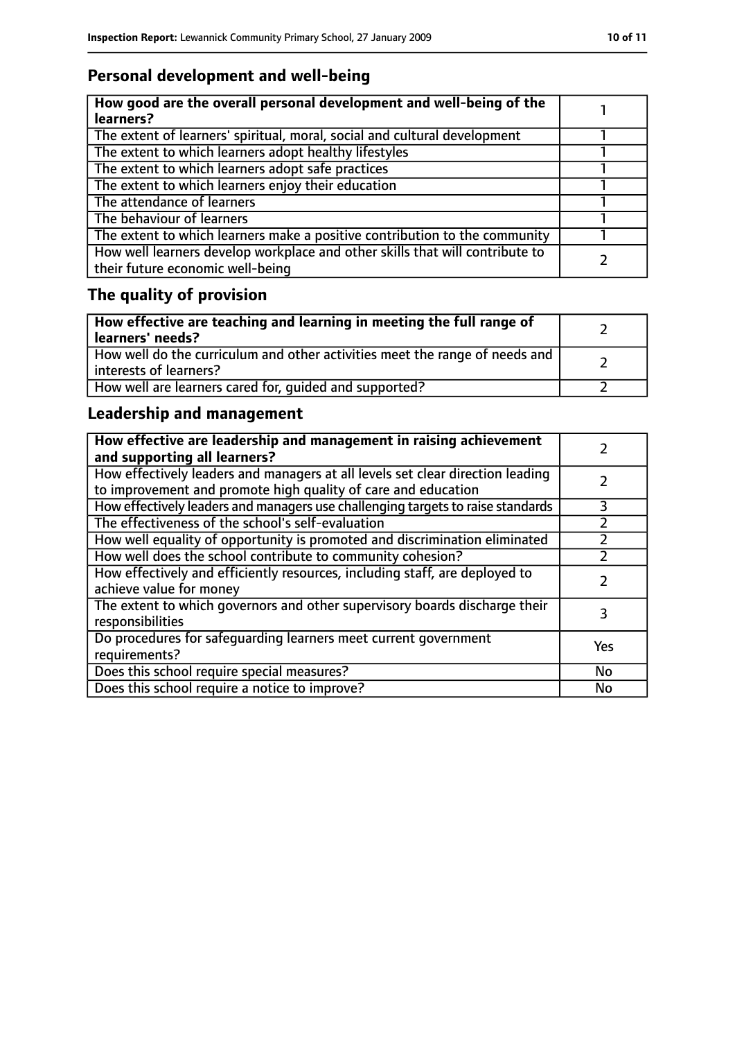## **Personal development and well-being**

| How good are the overall personal development and well-being of the<br>learners?                                 |  |
|------------------------------------------------------------------------------------------------------------------|--|
| The extent of learners' spiritual, moral, social and cultural development                                        |  |
| The extent to which learners adopt healthy lifestyles                                                            |  |
| The extent to which learners adopt safe practices                                                                |  |
| The extent to which learners enjoy their education                                                               |  |
| The attendance of learners                                                                                       |  |
| The behaviour of learners                                                                                        |  |
| The extent to which learners make a positive contribution to the community                                       |  |
| How well learners develop workplace and other skills that will contribute to<br>their future economic well-being |  |

# **The quality of provision**

| How effective are teaching and learning in meeting the full range of<br>learners' needs?              |  |
|-------------------------------------------------------------------------------------------------------|--|
| How well do the curriculum and other activities meet the range of needs and<br>interests of learners? |  |
| How well are learners cared for, quided and supported?                                                |  |

## **Leadership and management**

| How effective are leadership and management in raising achievement<br>and supporting all learners?                                              |     |
|-------------------------------------------------------------------------------------------------------------------------------------------------|-----|
| How effectively leaders and managers at all levels set clear direction leading<br>to improvement and promote high quality of care and education |     |
| How effectively leaders and managers use challenging targets to raise standards                                                                 | 3   |
| The effectiveness of the school's self-evaluation                                                                                               |     |
| How well equality of opportunity is promoted and discrimination eliminated                                                                      |     |
| How well does the school contribute to community cohesion?                                                                                      |     |
| How effectively and efficiently resources, including staff, are deployed to<br>achieve value for money                                          |     |
| The extent to which governors and other supervisory boards discharge their<br>responsibilities                                                  | 3   |
| Do procedures for safequarding learners meet current government<br>requirements?                                                                | Yes |
| Does this school require special measures?                                                                                                      | No  |
| Does this school require a notice to improve?                                                                                                   | No  |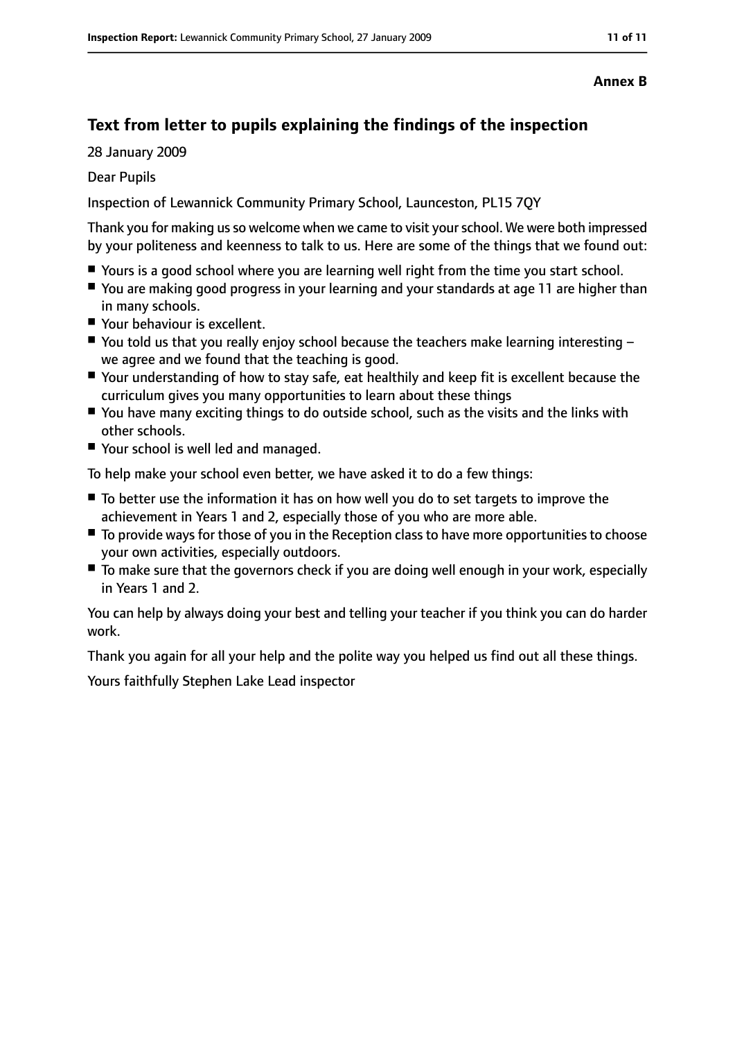#### **Annex B**

## **Text from letter to pupils explaining the findings of the inspection**

28 January 2009

Dear Pupils

Inspection of Lewannick Community Primary School, Launceston, PL15 7QY

Thank you for making usso welcome when we came to visit yourschool. We were both impressed by your politeness and keenness to talk to us. Here are some of the things that we found out:

- Yours is a good school where you are learning well right from the time you start school.
- You are making good progress in your learning and your standards at age 11 are higher than in many schools.
- Your behaviour is excellent.
- $\blacksquare$  You told us that you really enjoy school because the teachers make learning interesting  $$ we agree and we found that the teaching is good.
- Your understanding of how to stay safe, eat healthily and keep fit is excellent because the curriculum gives you many opportunities to learn about these things
- You have many exciting things to do outside school, such as the visits and the links with other schools.
- Your school is well led and managed.

To help make your school even better, we have asked it to do a few things:

- To better use the information it has on how well you do to set targets to improve the achievement in Years 1 and 2, especially those of you who are more able.
- To provide ways for those of you in the Reception class to have more opportunities to choose your own activities, especially outdoors.
- To make sure that the governors check if you are doing well enough in your work, especially in Years 1 and 2.

You can help by always doing your best and telling your teacher if you think you can do harder work.

Thank you again for all your help and the polite way you helped us find out all these things.

Yours faithfully Stephen Lake Lead inspector